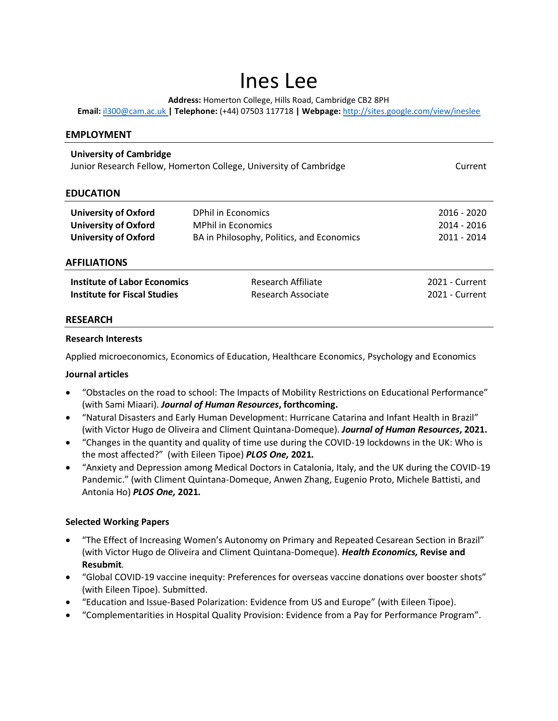# Ines Lee

**Address:** Homerton College, Hills Road, Cambridge CB2 8PH

**Email:** [il300@cam.ac.uk](mailto:il300@cam.ac.uk) **| Telephone:** (+44) 07503 117718 **| Webpage:** <http://sites.google.com/view/ineslee>

| <b>EMPLOYMENT</b>                                                                                   |                                           |                |
|-----------------------------------------------------------------------------------------------------|-------------------------------------------|----------------|
| <b>University of Cambridge</b><br>Junior Research Fellow, Homerton College, University of Cambridge |                                           | Current        |
| <b>EDUCATION</b>                                                                                    |                                           |                |
| <b>University of Oxford</b>                                                                         | <b>DPhil in Economics</b>                 | 2016 - 2020    |
| <b>University of Oxford</b>                                                                         | <b>MPhil in Economics</b>                 | 2014 - 2016    |
| <b>University of Oxford</b>                                                                         | BA in Philosophy, Politics, and Economics | 2011 - 2014    |
| <b>AFFILIATIONS</b>                                                                                 |                                           |                |
| <b>Institute of Labor Economics</b>                                                                 | Research Affiliate                        | 2021 - Current |
| Institute for Fiscal Studies                                                                        | Research Associate                        | 2021 - Current |
| <b>RESEARCH</b>                                                                                     |                                           |                |

#### **Research Interests**

Applied microeconomics, Economics of Education, Healthcare Economics, Psychology and Economics

#### **Journal articles**

- "Obstacles on the road to school: The Impacts of Mobility Restrictions on Educational Performance" (with Sami Miaari). *Journal of Human Resources***, forthcoming.**
- "Natural Disasters and Early Human Development: Hurricane Catarina and Infant Health in Brazil" (with Victor Hugo de Oliveira and Climent Quintana-Domeque). *Journal of Human Resources***, 2021.**
- "Changes in the quantity and quality of time use during the COVID-19 lockdowns in the UK: Who is the most affected?" (with Eileen Tipoe) *PLOS One,* **2021***.*
- "Anxiety and Depression among Medical Doctors in Catalonia, Italy, and the UK during the COVID-19 Pandemic." (with Climent Quintana-Domeque, Anwen Zhang, Eugenio Proto, Michele Battisti, and Antonia Ho) *PLOS One,* **2021***.*

### **Selected Working Papers**

- "The Effect of Increasing Women's Autonomy on Primary and Repeated Cesarean Section in Brazil" (with Victor Hugo de Oliveira and Climent Quintana-Domeque). *Health Economics,* **Revise and Resubmit***.*
- "Global COVID-19 vaccine inequity: Preferences for overseas vaccine donations over booster shots" (with Eileen Tipoe). Submitted.
- "Education and Issue-Based Polarization: Evidence from US and Europe" (with Eileen Tipoe).
- "Complementarities in Hospital Quality Provision: Evidence from a Pay for Performance Program".